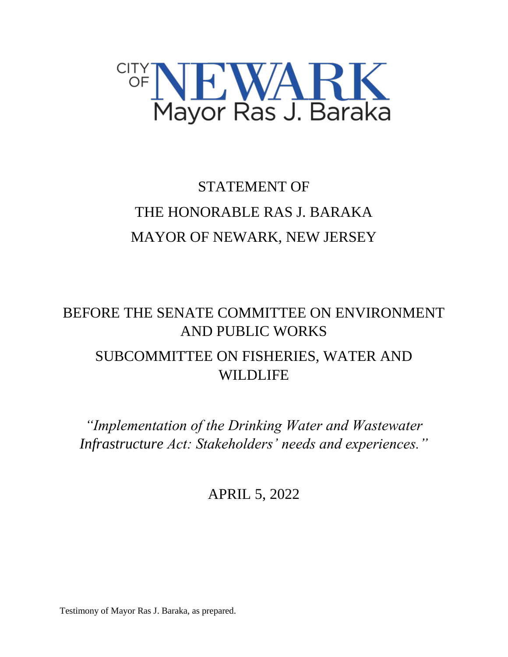

## STATEMENT OF THE HONORABLE RAS J. BARAKA MAYOR OF NEWARK, NEW JERSEY

## BEFORE THE SENATE COMMITTEE ON ENVIRONMENT AND PUBLIC WORKS SUBCOMMITTEE ON FISHERIES, WATER AND WILDLIFE

*"Implementation of the Drinking Water and Wastewater Infrastructure Act: Stakeholders' needs and experiences."*

APRIL 5, 2022

Testimony of Mayor Ras J. Baraka, as prepared.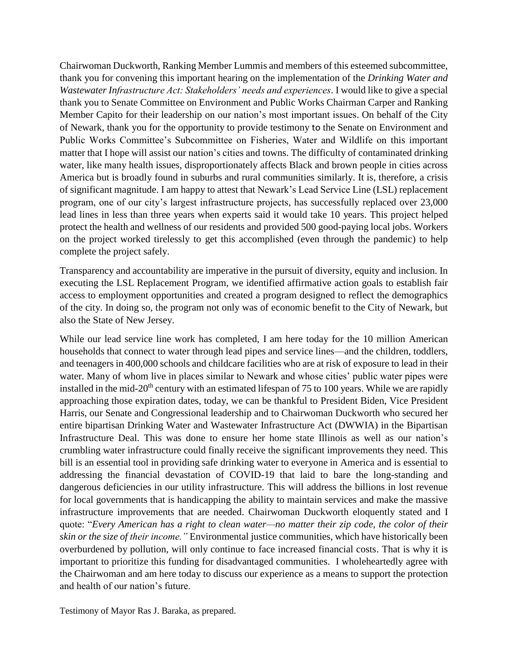Chairwoman Duckworth, Ranking Member Lummis and members of this esteemed subcommittee, thank you for convening this important hearing on the implementation of the *Drinking Water and Wastewater Infrastructure Act: Stakeholders' needs and experiences*. I would like to give a special thank you to Senate Committee on Environment and Public Works Chairman Carper and Ranking Member Capito for their leadership on our nation's most important issues. On behalf of the City of Newark, thank you for the opportunity to provide testimony to the Senate on Environment and Public Works Committee's Subcommittee on Fisheries, Water and Wildlife on this important matter that I hope will assist our nation's cities and towns. The difficulty of contaminated drinking water, like many health issues, disproportionately affects Black and brown people in cities across America but is broadly found in suburbs and rural communities similarly. It is, therefore, a crisis of significant magnitude. I am happy to attest that Newark's Lead Service Line (LSL) replacement program, one of our city's largest infrastructure projects, has successfully replaced over 23,000 lead lines in less than three years when experts said it would take 10 years. This project helped protect the health and wellness of our residents and provided 500 good-paying local jobs. Workers on the project worked tirelessly to get this accomplished (even through the pandemic) to help complete the project safely.

Transparency and accountability are imperative in the pursuit of diversity, equity and inclusion. In executing the LSL Replacement Program, we identified affirmative action goals to establish fair access to employment opportunities and created a program designed to reflect the demographics of the city. In doing so, the program not only was of economic benefit to the City of Newark, but also the State of New Jersey.

While our lead service line work has completed, I am here today for the 10 million American households that connect to water through lead pipes and service lines—and the children, toddlers, and teenagers in 400,000 schools and childcare facilities who are at risk of exposure to lead in their water. Many of whom live in places similar to Newark and whose cities' public water pipes were installed in the mid-20<sup>th</sup> century with an estimated lifespan of 75 to 100 years. While we are rapidly approaching those expiration dates, today, we can be thankful to President Biden, Vice President Harris, our Senate and Congressional leadership and to Chairwoman Duckworth who secured her entire bipartisan Drinking Water and Wastewater Infrastructure Act (DWWIA) in the Bipartisan Infrastructure Deal. This was done to ensure her home state Illinois as well as our nation's crumbling water infrastructure could finally receive the significant improvements they need. This bill is an essential tool in providing safe drinking water to everyone in America and is essential to addressing the financial devastation of COVID-19 that laid to bare the long-standing and dangerous deficiencies in our utility infrastructure. This will address the billions in lost revenue for local governments that is handicapping the ability to maintain services and make the massive infrastructure improvements that are needed. Chairwoman Duckworth eloquently stated and I quote: "*Every American has a right to clean water—no matter their zip code, the color of their skin or the size of their income."* Environmental justice communities, which have historically been overburdened by pollution, will only continue to face increased financial costs. That is why it is important to prioritize this funding for disadvantaged communities. I wholeheartedly agree with the Chairwoman and am here today to discuss our experience as a means to support the protection and health of our nation's future.

Testimony of Mayor Ras J. Baraka, as prepared.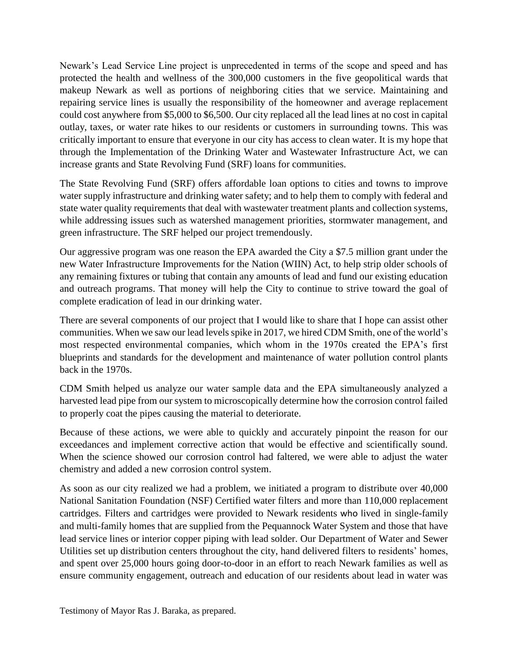Newark's Lead Service Line project is unprecedented in terms of the scope and speed and has protected the health and wellness of the 300,000 customers in the five geopolitical wards that makeup Newark as well as portions of neighboring cities that we service. Maintaining and repairing service lines is usually the responsibility of the homeowner and average replacement could cost anywhere from \$5,000 to \$6,500. Our city replaced all the lead lines at no cost in capital outlay, taxes, or water rate hikes to our residents or customers in surrounding towns. This was critically important to ensure that everyone in our city has access to clean water. It is my hope that through the Implementation of the Drinking Water and Wastewater Infrastructure Act, we can increase grants and State Revolving Fund (SRF) loans for communities.

The State Revolving Fund (SRF) offers affordable loan options to cities and towns to improve water supply infrastructure and drinking water safety; and to help them to comply with federal and state water quality requirements that deal with wastewater treatment plants and collection systems, while addressing issues such as watershed management priorities, stormwater management, and green infrastructure. The SRF helped our project tremendously.

Our aggressive program was one reason the EPA awarded the City a \$7.5 million grant under the new Water Infrastructure Improvements for the Nation (WIIN) Act, to help strip older schools of any remaining fixtures or tubing that contain any amounts of lead and fund our existing education and outreach programs. That money will help the City to continue to strive toward the goal of complete eradication of lead in our drinking water.

There are several components of our project that I would like to share that I hope can assist other communities. When we saw our lead levels spike in 2017, we hired CDM Smith, one of the world's most respected environmental companies, which whom in the 1970s created the EPA's first blueprints and standards for the development and maintenance of water pollution control plants back in the 1970s.

CDM Smith helped us analyze our water sample data and the EPA simultaneously analyzed a harvested lead pipe from our system to microscopically determine how the corrosion control failed to properly coat the pipes causing the material to deteriorate.

Because of these actions, we were able to quickly and accurately pinpoint the reason for our exceedances and implement corrective action that would be effective and scientifically sound. When the science showed our corrosion control had faltered, we were able to adjust the water chemistry and added a new corrosion control system.

As soon as our city realized we had a problem, we initiated a program to distribute over 40,000 National Sanitation Foundation (NSF) Certified water filters and more than 110,000 replacement cartridges. Filters and cartridges were provided to Newark residents who lived in single-family and multi-family homes that are supplied from the Pequannock Water System and those that have lead service lines or interior copper piping with lead solder. Our Department of Water and Sewer Utilities set up distribution centers throughout the city, hand delivered filters to residents' homes, and spent over 25,000 hours going door-to-door in an effort to reach Newark families as well as ensure community engagement, outreach and education of our residents about lead in water was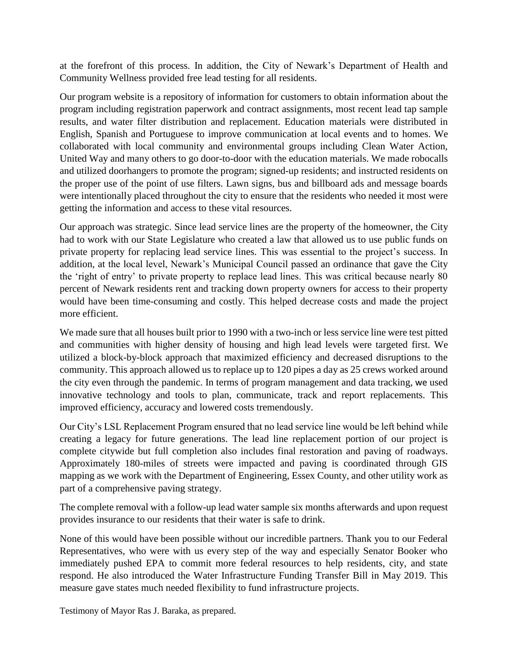at the forefront of this process. In addition, the City of Newark's Department of Health and Community Wellness provided free lead testing for all residents.

Our program website is a repository of information for customers to obtain information about the program including registration paperwork and contract assignments, most recent lead tap sample results, and water filter distribution and replacement. Education materials were distributed in English, Spanish and Portuguese to improve communication at local events and to homes. We collaborated with local community and environmental groups including Clean Water Action, United Way and many others to go door-to-door with the education materials. We made robocalls and utilized doorhangers to promote the program; signed-up residents; and instructed residents on the proper use of the point of use filters. Lawn signs, bus and billboard ads and message boards were intentionally placed throughout the city to ensure that the residents who needed it most were getting the information and access to these vital resources.

Our approach was strategic. Since lead service lines are the property of the homeowner, the City had to work with our State Legislature who created a law that allowed us to use public funds on private property for replacing lead service lines. This was essential to the project's success. In addition, at the local level, Newark's Municipal Council passed an ordinance that gave the City the 'right of entry' to private property to replace lead lines. This was critical because nearly 80 percent of Newark residents rent and tracking down property owners for access to their property would have been time-consuming and costly. This helped decrease costs and made the project more efficient.

We made sure that all houses built prior to 1990 with a two-inch or less service line were test pitted and communities with higher density of housing and high lead levels were targeted first. We utilized a block-by-block approach that maximized efficiency and decreased disruptions to the community. This approach allowed us to replace up to 120 pipes a day as 25 crews worked around the city even through the pandemic. In terms of program management and data tracking, we used innovative technology and tools to plan, communicate, track and report replacements. This improved efficiency, accuracy and lowered costs tremendously.

Our City's LSL Replacement Program ensured that no lead service line would be left behind while creating a legacy for future generations. The lead line replacement portion of our project is complete citywide but full completion also includes final restoration and paving of roadways. Approximately 180-miles of streets were impacted and paving is coordinated through GIS mapping as we work with the Department of Engineering, Essex County, and other utility work as part of a comprehensive paving strategy.

The complete removal with a follow-up lead water sample six months afterwards and upon request provides insurance to our residents that their water is safe to drink.

None of this would have been possible without our incredible partners. Thank you to our Federal Representatives, who were with us every step of the way and especially Senator Booker who immediately pushed EPA to commit more federal resources to help residents, city, and state respond. He also introduced the Water Infrastructure Funding Transfer Bill in May 2019. This measure gave states much needed flexibility to fund infrastructure projects.

Testimony of Mayor Ras J. Baraka, as prepared.